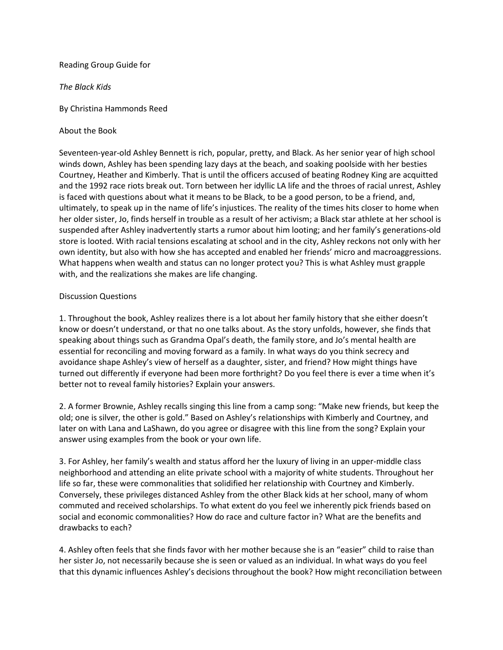## Reading Group Guide for

*The Black Kids*

By Christina Hammonds Reed

About the Book

Seventeen-year-old Ashley Bennett is rich, popular, pretty, and Black. As her senior year of high school winds down, Ashley has been spending lazy days at the beach, and soaking poolside with her besties Courtney, Heather and Kimberly. That is until the officers accused of beating Rodney King are acquitted and the 1992 race riots break out. Torn between her idyllic LA life and the throes of racial unrest, Ashley is faced with questions about what it means to be Black, to be a good person, to be a friend, and, ultimately, to speak up in the name of life's injustices. The reality of the times hits closer to home when her older sister, Jo, finds herself in trouble as a result of her activism; a Black star athlete at her school is suspended after Ashley inadvertently starts a rumor about him looting; and her family's generations-old store is looted. With racial tensions escalating at school and in the city, Ashley reckons not only with her own identity, but also with how she has accepted and enabled her friends' micro and macroaggressions. What happens when wealth and status can no longer protect you? This is what Ashley must grapple with, and the realizations she makes are life changing.

## Discussion Questions

1. Throughout the book, Ashley realizes there is a lot about her family history that she either doesn't know or doesn't understand, or that no one talks about. As the story unfolds, however, she finds that speaking about things such as Grandma Opal's death, the family store, and Jo's mental health are essential for reconciling and moving forward as a family. In what ways do you think secrecy and avoidance shape Ashley's view of herself as a daughter, sister, and friend? How might things have turned out differently if everyone had been more forthright? Do you feel there is ever a time when it's better not to reveal family histories? Explain your answers.

2. A former Brownie, Ashley recalls singing this line from a camp song: "Make new friends, but keep the old; one is silver, the other is gold." Based on Ashley's relationships with Kimberly and Courtney, and later on with Lana and LaShawn, do you agree or disagree with this line from the song? Explain your answer using examples from the book or your own life.

3. For Ashley, her family's wealth and status afford her the luxury of living in an upper-middle class neighborhood and attending an elite private school with a majority of white students. Throughout her life so far, these were commonalities that solidified her relationship with Courtney and Kimberly. Conversely, these privileges distanced Ashley from the other Black kids at her school, many of whom commuted and received scholarships. To what extent do you feel we inherently pick friends based on social and economic commonalities? How do race and culture factor in? What are the benefits and drawbacks to each?

4. Ashley often feels that she finds favor with her mother because she is an "easier" child to raise than her sister Jo, not necessarily because she is seen or valued as an individual. In what ways do you feel that this dynamic influences Ashley's decisions throughout the book? How might reconciliation between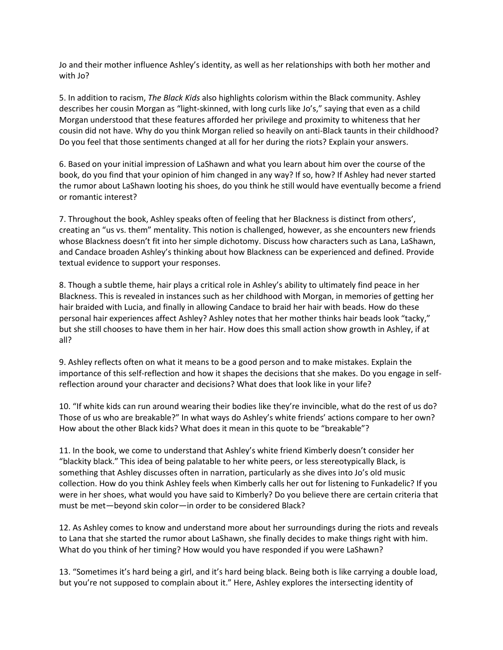Jo and their mother influence Ashley's identity, as well as her relationships with both her mother and with Jo?

5. In addition to racism, *The Black Kids* also highlights colorism within the Black community. Ashley describes her cousin Morgan as "light-skinned, with long curls like Jo's," saying that even as a child Morgan understood that these features afforded her privilege and proximity to whiteness that her cousin did not have. Why do you think Morgan relied so heavily on anti-Black taunts in their childhood? Do you feel that those sentiments changed at all for her during the riots? Explain your answers.

6. Based on your initial impression of LaShawn and what you learn about him over the course of the book, do you find that your opinion of him changed in any way? If so, how? If Ashley had never started the rumor about LaShawn looting his shoes, do you think he still would have eventually become a friend or romantic interest?

7. Throughout the book, Ashley speaks often of feeling that her Blackness is distinct from others', creating an "us vs. them" mentality. This notion is challenged, however, as she encounters new friends whose Blackness doesn't fit into her simple dichotomy. Discuss how characters such as Lana, LaShawn, and Candace broaden Ashley's thinking about how Blackness can be experienced and defined. Provide textual evidence to support your responses.

8. Though a subtle theme, hair plays a critical role in Ashley's ability to ultimately find peace in her Blackness. This is revealed in instances such as her childhood with Morgan, in memories of getting her hair braided with Lucia, and finally in allowing Candace to braid her hair with beads. How do these personal hair experiences affect Ashley? Ashley notes that her mother thinks hair beads look "tacky," but she still chooses to have them in her hair. How does this small action show growth in Ashley, if at all?

9. Ashley reflects often on what it means to be a good person and to make mistakes. Explain the importance of this self-reflection and how it shapes the decisions that she makes. Do you engage in selfreflection around your character and decisions? What does that look like in your life?

10. "If white kids can run around wearing their bodies like they're invincible, what do the rest of us do? Those of us who are breakable?" In what ways do Ashley's white friends' actions compare to her own? How about the other Black kids? What does it mean in this quote to be "breakable"?

11. In the book, we come to understand that Ashley's white friend Kimberly doesn't consider her "blackity black." This idea of being palatable to her white peers, or less stereotypically Black, is something that Ashley discusses often in narration, particularly as she dives into Jo's old music collection. How do you think Ashley feels when Kimberly calls her out for listening to Funkadelic? If you were in her shoes, what would you have said to Kimberly? Do you believe there are certain criteria that must be met—beyond skin color—in order to be considered Black?

12. As Ashley comes to know and understand more about her surroundings during the riots and reveals to Lana that she started the rumor about LaShawn, she finally decides to make things right with him. What do you think of her timing? How would you have responded if you were LaShawn?

13. "Sometimes it's hard being a girl, and it's hard being black. Being both is like carrying a double load, but you're not supposed to complain about it." Here, Ashley explores the intersecting identity of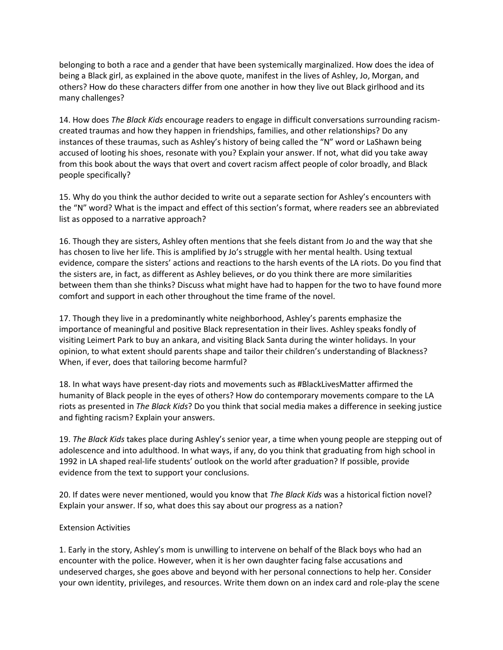belonging to both a race and a gender that have been systemically marginalized. How does the idea of being a Black girl, as explained in the above quote, manifest in the lives of Ashley, Jo, Morgan, and others? How do these characters differ from one another in how they live out Black girlhood and its many challenges?

14. How does *The Black Kids* encourage readers to engage in difficult conversations surrounding racismcreated traumas and how they happen in friendships, families, and other relationships? Do any instances of these traumas, such as Ashley's history of being called the "N" word or LaShawn being accused of looting his shoes, resonate with you? Explain your answer. If not, what did you take away from this book about the ways that overt and covert racism affect people of color broadly, and Black people specifically?

15. Why do you think the author decided to write out a separate section for Ashley's encounters with the "N" word? What is the impact and effect of this section's format, where readers see an abbreviated list as opposed to a narrative approach?

16. Though they are sisters, Ashley often mentions that she feels distant from Jo and the way that she has chosen to live her life. This is amplified by Jo's struggle with her mental health. Using textual evidence, compare the sisters' actions and reactions to the harsh events of the LA riots. Do you find that the sisters are, in fact, as different as Ashley believes, or do you think there are more similarities between them than she thinks? Discuss what might have had to happen for the two to have found more comfort and support in each other throughout the time frame of the novel.

17. Though they live in a predominantly white neighborhood, Ashley's parents emphasize the importance of meaningful and positive Black representation in their lives. Ashley speaks fondly of visiting Leimert Park to buy an ankara, and visiting Black Santa during the winter holidays. In your opinion, to what extent should parents shape and tailor their children's understanding of Blackness? When, if ever, does that tailoring become harmful?

18. In what ways have present-day riots and movements such as #BlackLivesMatter affirmed the humanity of Black people in the eyes of others? How do contemporary movements compare to the LA riots as presented in *The Black Kids*? Do you think that social media makes a difference in seeking justice and fighting racism? Explain your answers.

19. *The Black Kids* takes place during Ashley's senior year, a time when young people are stepping out of adolescence and into adulthood. In what ways, if any, do you think that graduating from high school in 1992 in LA shaped real-life students' outlook on the world after graduation? If possible, provide evidence from the text to support your conclusions.

20. If dates were never mentioned, would you know that *The Black Kids* was a historical fiction novel? Explain your answer. If so, what does this say about our progress as a nation?

## Extension Activities

1. Early in the story, Ashley's mom is unwilling to intervene on behalf of the Black boys who had an encounter with the police. However, when it is her own daughter facing false accusations and undeserved charges, she goes above and beyond with her personal connections to help her. Consider your own identity, privileges, and resources. Write them down on an index card and role-play the scene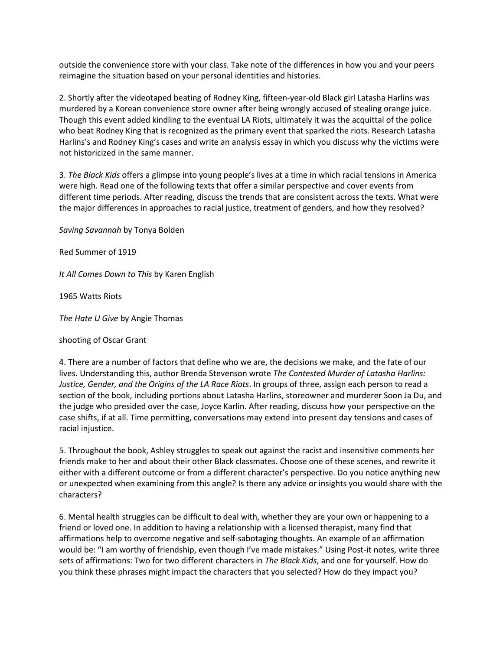outside the convenience store with your class. Take note of the differences in how you and your peers reimagine the situation based on your personal identities and histories.

2. Shortly after the videotaped beating of Rodney King, fifteen-year-old Black girl Latasha Harlins was murdered by a Korean convenience store owner after being wrongly accused of stealing orange juice. Though this event added kindling to the eventual LA Riots, ultimately it was the acquittal of the police who beat Rodney King that is recognized as the primary event that sparked the riots. Research Latasha Harlins's and Rodney King's cases and write an analysis essay in which you discuss why the victims were not historicized in the same manner.

3. *The Black Kids* offers a glimpse into young people's lives at a time in which racial tensions in America were high. Read one of the following texts that offer a similar perspective and cover events from different time periods. After reading, discuss the trends that are consistent across the texts. What were the major differences in approaches to racial justice, treatment of genders, and how they resolved?

*Saving Savannah* by Tonya Bolden

Red Summer of 1919

*It All Comes Down to This* by Karen English

1965 Watts Riots

*The Hate U Give* by Angie Thomas

shooting of Oscar Grant

4. There are a number of factors that define who we are, the decisions we make, and the fate of our lives. Understanding this, author Brenda Stevenson wrote *The Contested Murder of Latasha Harlins: Justice, Gender, and the Origins of the LA Race Riots*. In groups of three, assign each person to read a section of the book, including portions about Latasha Harlins, storeowner and murderer Soon Ja Du, and the judge who presided over the case, Joyce Karlin. After reading, discuss how your perspective on the case shifts, if at all. Time permitting, conversations may extend into present day tensions and cases of racial injustice.

5. Throughout the book, Ashley struggles to speak out against the racist and insensitive comments her friends make to her and about their other Black classmates. Choose one of these scenes, and rewrite it either with a different outcome or from a different character's perspective. Do you notice anything new or unexpected when examining from this angle? Is there any advice or insights you would share with the characters?

6. Mental health struggles can be difficult to deal with, whether they are your own or happening to a friend or loved one. In addition to having a relationship with a licensed therapist, many find that affirmations help to overcome negative and self-sabotaging thoughts. An example of an affirmation would be: "I am worthy of friendship, even though I've made mistakes." Using Post-it notes, write three sets of affirmations: Two for two different characters in *The Black Kids*, and one for yourself. How do you think these phrases might impact the characters that you selected? How do they impact you?